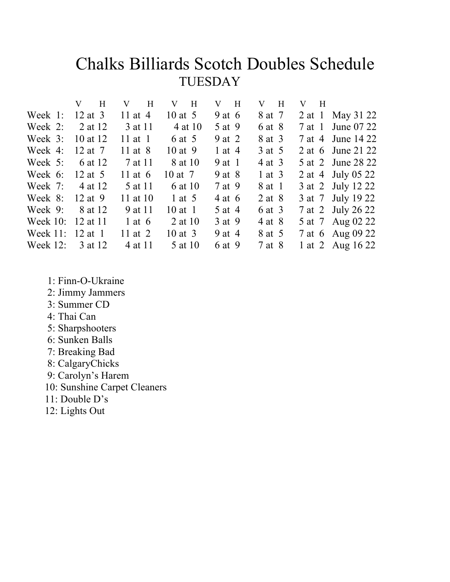### Chalks Billiards Scotch Doubles ScheduleTUESDAY

|                    | $V$ H     | $V$ H     | V H         | $V$ H      | V H        | $V$ H             |
|--------------------|-----------|-----------|-------------|------------|------------|-------------------|
| Week 1: $12$ at 3  |           | 11 at $4$ | 10 at $5$   | 9 at $6$   | 8 at 7     | 2 at 1 May 31 22  |
| Week 2: $2$ at 12  |           | 3 at 11   | 4 at 10     | 5 at 9     | 6 at 8     | 7 at 1 June 07 22 |
| Week 3: 10 at 12   |           | 11 at $1$ | 6 at 5      | 9 at 2     | 8 at 3     | 7 at 4 June 14 22 |
| Week $4$ :         | 12 at 7   | 11 at $8$ | $10$ at $9$ | 1 at $4$   | 3 at 5     | 2 at 6 June 21 22 |
| Week $5$ :         | 6 at 12   | 7 at 11   | 8 at 10     | 9 at 1     | 4 at 3     | 5 at 2 June 28 22 |
| Week 6:            | 12 at $5$ | 11 at $6$ | 10 at 7     | $9$ at $8$ | $1$ at $3$ | 2 at 4 July 05 22 |
| Week $7: 4$ at 12  |           | 5 at 11   | 6 at 10     | 7 at 9     | 8 at 1     | 3 at 2 July 12 22 |
| Week 8: 12 at 9    |           | 11 at 10  | 1 at $5$    | $4$ at 6   | $2$ at $8$ | 3 at 7 July 19 22 |
| Week $9$ :         | 8 at 12   | 9 at 11   | $10$ at 1   | 5 at 4     | 6 at 3     | 7 at 2 July 26 22 |
| Week 10: 12 at 11  |           | 1 at $6$  | 2 at 10     | 3 at 9     | 4 at 8     | 5 at 7 Aug 02 22  |
| Week 11: 12 at 1   |           | 11 at $2$ | $10$ at $3$ | 9 at 4     | 8 at 5     | 7 at 6 Aug 09 22  |
| Week $12: 3$ at 12 |           | 4 at 11   | 5 at 10     | 6 at 9     | 7 at 8     | 1 at 2 Aug 16 22  |
|                    |           |           |             |            |            |                   |

- 1: Finn-O-Ukraine
- 2: Jimmy Jammers
- 3: Summer CD
- 4: Thai Can
- 5: Sharpshooters
- 6: Sunken Balls
- 7: Breaking Bad
- 8: CalgaryChicks
- 9: Carolyn's Harem
- 10: Sunshine Carpet Cleaners
- 11: Double D's
- 12: Lights Out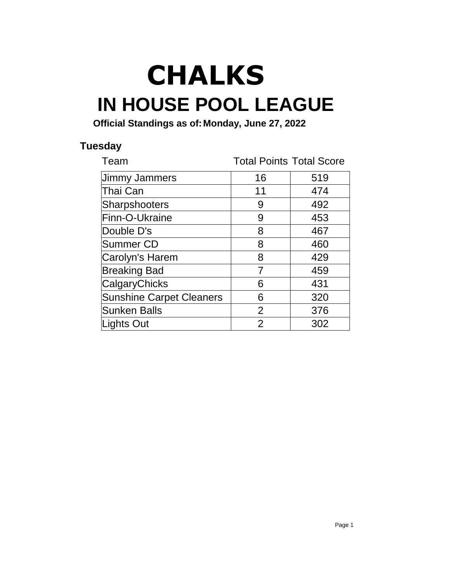# **IN HOUSE POOL LEAGUE CHALKS**

**Official Standings as of:Monday, June 27, 2022**

#### **Tuesday**

| Team                            | <b>Total Points Total Score</b> |     |
|---------------------------------|---------------------------------|-----|
| Jimmy Jammers                   | 16                              | 519 |
| Thai Can                        | 11                              | 474 |
| Sharpshooters                   | 9                               | 492 |
| Finn-O-Ukraine                  | 9                               | 453 |
| Double D's                      | 8                               | 467 |
| Summer CD                       | 8                               | 460 |
| Carolyn's Harem                 | 8                               | 429 |
| <b>Breaking Bad</b>             | 7                               | 459 |
| CalgaryChicks                   | 6                               | 431 |
| <b>Sunshine Carpet Cleaners</b> | 6                               | 320 |
| <b>Sunken Balls</b>             | $\overline{2}$                  | 376 |
| Lights Out                      | $\overline{2}$                  | 302 |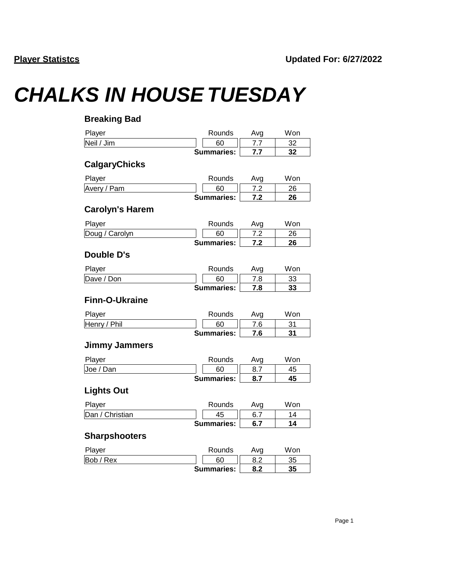## *CHALKS IN HOUSE TUESDAY*

| <b>Breaking Bad</b>    |                   |     |     |
|------------------------|-------------------|-----|-----|
| Player                 | Rounds            | Avg | Won |
| Neil / Jim             | 60                | 7.7 | 32  |
|                        | <b>Summaries:</b> | 7.7 | 32  |
| <b>CalgaryChicks</b>   |                   |     |     |
| Player                 | Rounds            | Avg | Won |
| Avery / Pam            | 60                | 7.2 | 26  |
|                        | <b>Summaries:</b> | 7.2 | 26  |
| <b>Carolyn's Harem</b> |                   |     |     |
| Player                 | Rounds            | Avg | Won |
| Doug / Carolyn         | 60                | 7.2 | 26  |
|                        | <b>Summaries:</b> | 7.2 | 26  |
| Double D's             |                   |     |     |
| Player                 | Rounds            | Avg | Won |
| Dave / Don             | 60                | 7.8 | 33  |
|                        | <b>Summaries:</b> | 7.8 | 33  |
| <b>Finn-O-Ukraine</b>  |                   |     |     |
| Player                 | Rounds            | Avg | Won |
| Henry / Phil           | 60                | 7.6 | 31  |
|                        | <b>Summaries:</b> | 7.6 | 31  |
| <b>Jimmy Jammers</b>   |                   |     |     |
| Player                 | Rounds            | Avg | Won |
| Joe / Dan              | 60                | 8.7 | 45  |
|                        | <b>Summaries:</b> | 8.7 | 45  |
| <b>Lights Out</b>      |                   |     |     |
| Player                 | Rounds            | Avg | Won |
| Dan / Christian        | 45                | 6.7 | 14  |
|                        | <b>Summaries:</b> | 6.7 | 14  |
| <b>Sharpshooters</b>   |                   |     |     |
| Player                 | Rounds            | Avg | Won |
| Bob / Rex              | 60                | 8.2 | 35  |
|                        | <b>Summaries:</b> | 8.2 | 35  |